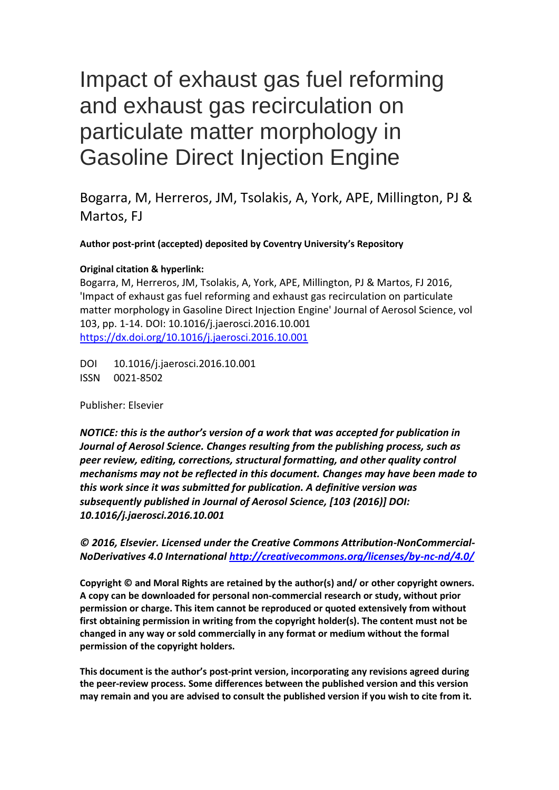# Impact of exhaust gas fuel reforming and exhaust gas recirculation on particulate matter morphology in Gasoline Direct Injection Engine

Bogarra, M, Herreros, JM, Tsolakis, A, York, APE, Millington, PJ & Martos, FJ

**Author post-print (accepted) deposited by Coventry University's Repository**

# **Original citation & hyperlink:**

Bogarra, M, Herreros, JM, Tsolakis, A, York, APE, Millington, PJ & Martos, FJ 2016, 'Impact of exhaust gas fuel reforming and exhaust gas recirculation on particulate matter morphology in Gasoline Direct Injection Engine' Journal of Aerosol Science, vol 103, pp. 1-14. DOI: 10.1016/j.jaerosci.2016.10.001 <https://dx.doi.org/10.1016/j.jaerosci.2016.10.001>

DOI 10.1016/j.jaerosci.2016.10.001 ISSN 0021-8502

Publisher: Elsevier

*NOTICE: this is the author's version of a work that was accepted for publication in Journal of Aerosol Science. Changes resulting from the publishing process, such as peer review, editing, corrections, structural formatting, and other quality control mechanisms may not be reflected in this document. Changes may have been made to this work since it was submitted for publication. A definitive version was subsequently published in Journal of Aerosol Science, [103 (2016)] DOI: 10.1016/j.jaerosci.2016.10.001*

*© 2016, Elsevier. Licensed under the Creative Commons Attribution-NonCommercial-NoDerivatives 4.0 International<http://creativecommons.org/licenses/by-nc-nd/4.0/>*

**Copyright © and Moral Rights are retained by the author(s) and/ or other copyright owners. A copy can be downloaded for personal non-commercial research or study, without prior permission or charge. This item cannot be reproduced or quoted extensively from without first obtaining permission in writing from the copyright holder(s). The content must not be changed in any way or sold commercially in any format or medium without the formal permission of the copyright holders.** 

**This document is the author's post-print version, incorporating any revisions agreed during the peer-review process. Some differences between the published version and this version may remain and you are advised to consult the published version if you wish to cite from it.**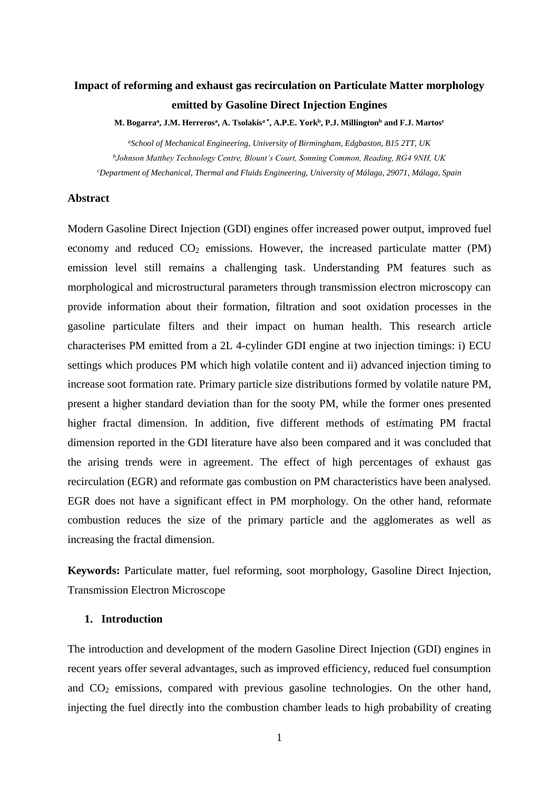# **Impact of reforming and exhaust gas recirculation on Particulate Matter morphology emitted by Gasoline Direct Injection Engines**

**M. Bogarra<sup>a</sup> , J.M. Herreros<sup>a</sup> , A. Tsolakis<sup>a</sup> \* , A.P.E. York<sup>b</sup> , P.J. Millington<sup>b</sup> and F.J. Martos<sup>c</sup>**

*<sup>a</sup>School of Mechanical Engineering, University of Birmingham, Edgbaston, B15 2TT, UK b Johnson Matthey Technology Centre, Blount's Court, Sonning Common, Reading, RG4 9NH, UK <sup>c</sup>Department of Mechanical, Thermal and Fluids Engineering, University of Málaga, 29071, Málaga, Spain*

# **Abstract**

Modern Gasoline Direct Injection (GDI) engines offer increased power output, improved fuel economy and reduced CO<sup>2</sup> emissions. However, the increased particulate matter (PM) emission level still remains a challenging task. Understanding PM features such as morphological and microstructural parameters through transmission electron microscopy can provide information about their formation, filtration and soot oxidation processes in the gasoline particulate filters and their impact on human health. This research article characterises PM emitted from a 2L 4-cylinder GDI engine at two injection timings: i) ECU settings which produces PM which high volatile content and ii) advanced injection timing to increase soot formation rate. Primary particle size distributions formed by volatile nature PM, present a higher standard deviation than for the sooty PM, while the former ones presented higher fractal dimension. In addition, five different methods of est*i*mating PM fractal dimension reported in the GDI literature have also been compared and it was concluded that the arising trends were in agreement. The effect of high percentages of exhaust gas recirculation (EGR) and reformate gas combustion on PM characteristics have been analysed. EGR does not have a significant effect in PM morphology. On the other hand, reformate combustion reduces the size of the primary particle and the agglomerates as well as increasing the fractal dimension.

**Keywords:** Particulate matter, fuel reforming, soot morphology, Gasoline Direct Injection, Transmission Electron Microscope

#### **1. Introduction**

The introduction and development of the modern Gasoline Direct Injection (GDI) engines in recent years offer several advantages, such as improved efficiency, reduced fuel consumption and  $CO<sub>2</sub>$  emissions, compared with previous gasoline technologies. On the other hand, injecting the fuel directly into the combustion chamber leads to high probability of creating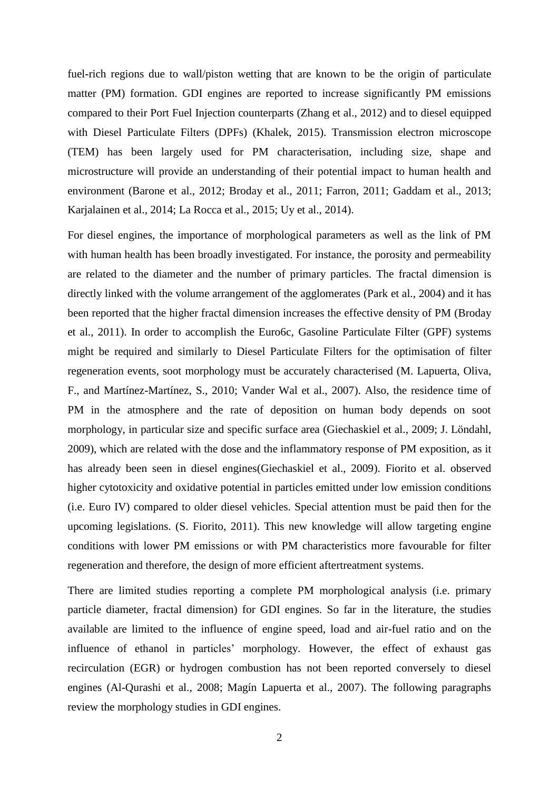fuel-rich regions due to wall/piston wetting that are known to be the origin of particulate matter (PM) formation. GDI engines are reported to increase significantly PM emissions compared to their Port Fuel Injection counterparts [\(Zhang et al., 2012\)](#page-26-0) and to diesel equipped with Diesel Particulate Filters (DPFs) [\(Khalek, 2015\)](#page-24-0). Transmission electron microscope (TEM) has been largely used for PM characterisation, including size, shape and microstructure will provide an understanding of their potential impact to human health and environment [\(Barone et al., 2012;](#page-22-0) [Broday et al., 2011;](#page-22-1) [Farron, 2011;](#page-23-0) [Gaddam et al., 2013;](#page-23-1) [Karjalainen et al., 2014;](#page-24-1) [La Rocca et al., 2015;](#page-24-2) [Uy et al., 2014\)](#page-25-0).

For diesel engines, the importance of morphological parameters as well as the link of PM with human health has been broadly investigated. For instance, the porosity and permeability are related to the diameter and the number of primary particles. The fractal dimension is directly linked with the volume arrangement of the agglomerates [\(Park et al., 2004\)](#page-25-1) and it has been reported that the higher fractal dimension increases the effective density of PM [\(Broday](#page-22-1)  [et al., 2011\)](#page-22-1). In order to accomplish the Euro6c, Gasoline Particulate Filter (GPF) systems might be required and similarly to Diesel Particulate Filters for the optimisation of filter regeneration events, soot morphology must be accurately characterised [\(M. Lapuerta, Oliva,](#page-24-3)  [F., and Martínez-Martínez, S., 2010;](#page-24-3) [Vander Wal et al., 2007\)](#page-26-1). Also, the residence time of PM in the atmosphere and the rate of deposition on human body depends on soot morphology, in particular size and specific surface area [\(Giechaskiel et al., 2009;](#page-23-2) [J. Löndahl,](#page-24-4)  [2009\)](#page-24-4), which are related with the dose and the inflammatory response of PM exposition, as it has already been seen in diesel engines[\(Giechaskiel et al., 2009\)](#page-23-2). Fiorito et al. observed higher cytotoxicity and oxidative potential in particles emitted under low emission conditions (i.e. Euro IV) compared to older diesel vehicles. Special attention must be paid then for the upcoming legislations. [\(S. Fiorito, 2011\)](#page-25-2). This new knowledge will allow targeting engine conditions with lower PM emissions or with PM characteristics more favourable for filter regeneration and therefore, the design of more efficient aftertreatment systems.

There are limited studies reporting a complete PM morphological analysis (i.e. primary particle diameter, fractal dimension) for GDI engines. So far in the literature, the studies available are limited to the influence of engine speed, load and air-fuel ratio and on the influence of ethanol in particles' morphology. However, the effect of exhaust gas recirculation (EGR) or hydrogen combustion has not been reported conversely to diesel engines [\(Al-Qurashi et al., 2008;](#page-22-2) [Magín Lapuerta et al., 2007\)](#page-24-5). The following paragraphs review the morphology studies in GDI engines.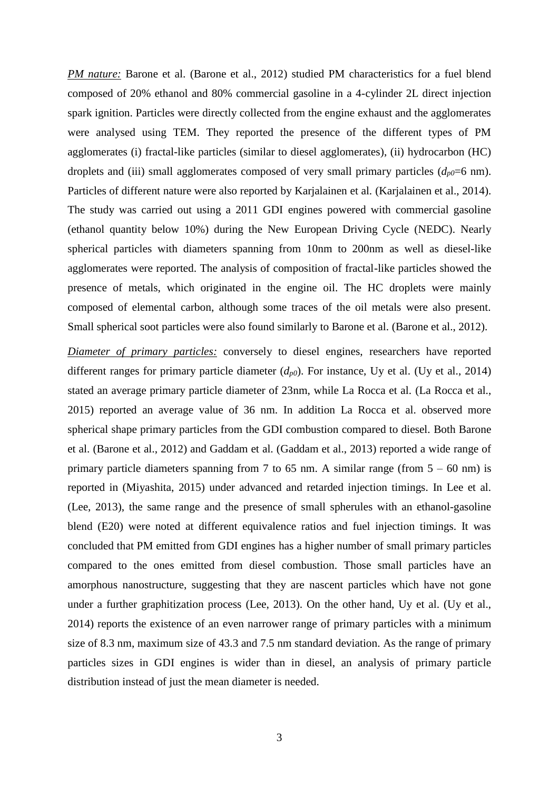*PM nature:* Barone et al. [\(Barone et al., 2012\)](#page-22-0) studied PM characteristics for a fuel blend composed of 20% ethanol and 80% commercial gasoline in a 4-cylinder 2L direct injection spark ignition. Particles were directly collected from the engine exhaust and the agglomerates were analysed using TEM. They reported the presence of the different types of PM agglomerates (i) fractal-like particles (similar to diesel agglomerates), (ii) hydrocarbon (HC) droplets and (iii) small agglomerates composed of very small primary particles  $(d_{p0}=6 \text{ nm})$ . Particles of different nature were also reported by Karjalainen et al. [\(Karjalainen et al., 2014\)](#page-24-1). The study was carried out using a 2011 GDI engines powered with commercial gasoline (ethanol quantity below 10%) during the New European Driving Cycle (NEDC). Nearly spherical particles with diameters spanning from 10nm to 200nm as well as diesel-like agglomerates were reported. The analysis of composition of fractal-like particles showed the presence of metals, which originated in the engine oil. The HC droplets were mainly composed of elemental carbon, although some traces of the oil metals were also present. Small spherical soot particles were also found similarly to Barone et al. (Barone [et al., 2012\)](#page-22-0).

*Diameter of primary particles:* conversely to diesel engines, researchers have reported different ranges for primary particle diameter (*dp0*). For instance, Uy et al. [\(Uy et al., 2014\)](#page-25-0) stated an average primary particle diameter of 23nm, while La Rocca et al. [\(La Rocca et al.,](#page-24-2)  [2015\)](#page-24-2) reported an average value of 36 nm. In addition La Rocca et al. observed more spherical shape primary particles from the GDI combustion compared to diesel. Both Barone et al. [\(Barone et al., 2012\)](#page-22-0) and Gaddam et al. [\(Gaddam et al., 2013\)](#page-23-1) reported a wide range of primary particle diameters spanning from 7 to 65 nm. A similar range (from  $5 - 60$  nm) is reported in [\(Miyashita, 2015\)](#page-25-3) under advanced and retarded injection timings. In Lee et al. [\(Lee, 2013\)](#page-24-6), the same range and the presence of small spherules with an ethanol-gasoline blend (E20) were noted at different equivalence ratios and fuel injection timings. It was concluded that PM emitted from GDI engines has a higher number of small primary particles compared to the ones emitted from diesel combustion. Those small particles have an amorphous nanostructure, suggesting that they are nascent particles which have not gone under a further graphitization process [\(Lee, 2013\)](#page-24-6). On the other hand, Uy et al. [\(Uy et al.,](#page-25-0)  [2014\)](#page-25-0) reports the existence of an even narrower range of primary particles with a minimum size of 8.3 nm, maximum size of 43.3 and 7.5 nm standard deviation. As the range of primary particles sizes in GDI engines is wider than in diesel, an analysis of primary particle distribution instead of just the mean diameter is needed.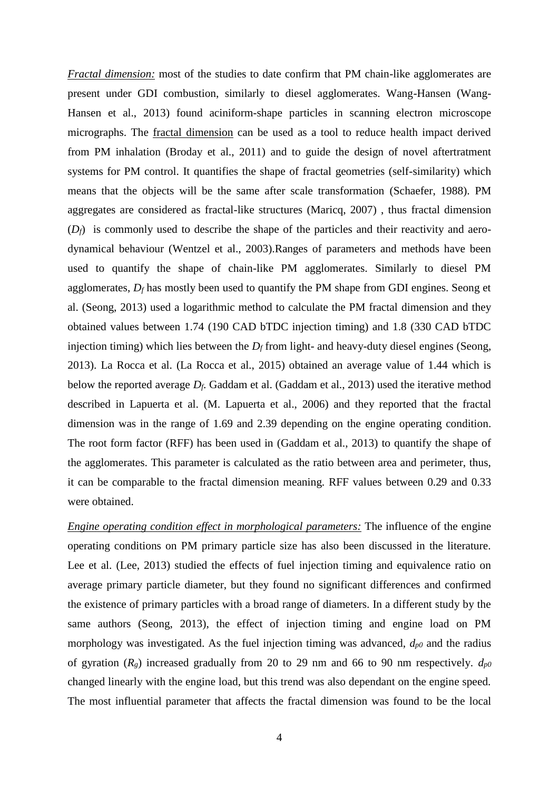*Fractal dimension:* most of the studies to date confirm that PM chain-like agglomerates are present under GDI combustion, similarly to diesel agglomerates. Wang-Hansen [\(Wang-](#page-26-2)[Hansen et al., 2013\)](#page-26-2) found aciniform-shape particles in scanning electron microscope micrographs. The fractal dimension can be used as a tool to reduce health impact derived from PM inhalation [\(Broday et al., 2011\)](#page-22-1) and to guide the design of novel aftertratment systems for PM control. It quantifies the shape of fractal geometries (self-similarity) which means that the objects will be the same after scale transformation [\(Schaefer, 1988\)](#page-25-4). PM aggregates are considered as fractal-like structures [\(Maricq, 2007\)](#page-25-5) , thus fractal dimension  $(D_f)$  is commonly used to describe the shape of the particles and their reactivity and aerodynamical behaviour [\(Wentzel et al., 2003\)](#page-26-3).Ranges of parameters and methods have been used to quantify the shape of chain-like PM agglomerates. Similarly to diesel PM agglomerates,  $D_f$  has mostly been used to quantify the PM shape from GDI engines. Seong et al. [\(Seong, 2013\)](#page-25-6) used a logarithmic method to calculate the PM fractal dimension and they obtained values between 1.74 (190 CAD bTDC injection timing) and 1.8 (330 CAD bTDC injection timing) which lies between the  $D_f$  from light- and heavy-duty diesel engines (Seong, [2013\)](#page-25-6). La Rocca et al. [\(La Rocca et al., 2015\)](#page-24-2) obtained an average value of 1.44 which is below the reported average *Df*. Gaddam et al. [\(Gaddam et al., 2013\)](#page-23-1) used the iterative method described in Lapuerta et al. [\(M. Lapuerta et al., 2006\)](#page-24-7) and they reported that the fractal dimension was in the range of 1.69 and 2.39 depending on the engine operating condition. The root form factor (RFF) has been used in [\(Gaddam et al., 2013\)](#page-23-1) to quantify the shape of the agglomerates. This parameter is calculated as the ratio between area and perimeter, thus, it can be comparable to the fractal dimension meaning. RFF values between 0.29 and 0.33 were obtained.

*Engine operating condition effect in morphological parameters:* The influence of the engine operating conditions on PM primary particle size has also been discussed in the literature. Lee et al. [\(Lee, 2013\)](#page-24-6) studied the effects of fuel injection timing and equivalence ratio on average primary particle diameter, but they found no significant differences and confirmed the existence of primary particles with a broad range of diameters. In a different study by the same authors [\(Seong, 2013\)](#page-25-6), the effect of injection timing and engine load on PM morphology was investigated. As the fuel injection timing was advanced, *dp0* and the radius of gyration  $(R_g)$  increased gradually from 20 to 29 nm and 66 to 90 nm respectively.  $d_{p0}$ changed linearly with the engine load, but this trend was also dependant on the engine speed. The most influential parameter that affects the fractal dimension was found to be the local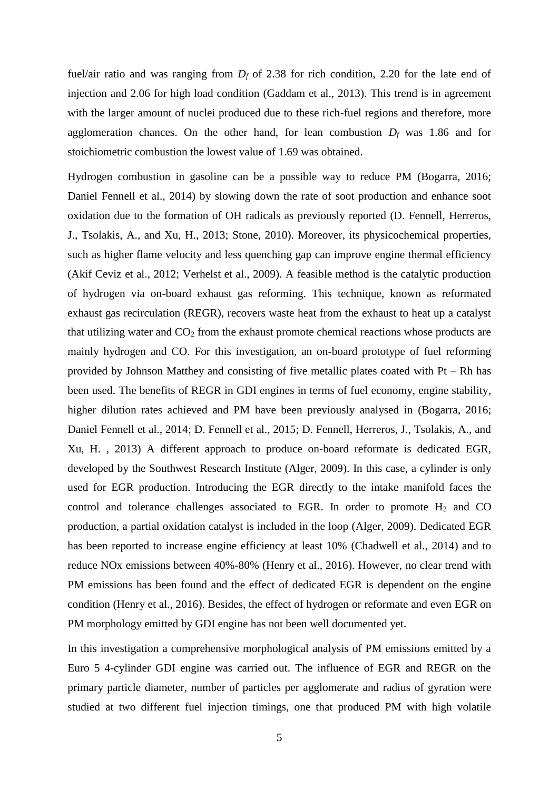fuel/air ratio and was ranging from  $D_f$  of 2.38 for rich condition, 2.20 for the late end of injection and 2.06 for high load condition [\(Gaddam et al., 2013\)](#page-23-1). This trend is in agreement with the larger amount of nuclei produced due to these rich-fuel regions and therefore, more agglomeration chances. On the other hand, for lean combustion  $D_f$  was 1.86 and for stoichiometric combustion the lowest value of 1.69 was obtained.

Hydrogen combustion in gasoline can be a possible way to reduce PM [\(Bogarra, 2016;](#page-22-3) [Daniel Fennell et al., 2014\)](#page-23-3) by slowing down the rate of soot production and enhance soot oxidation due to the formation of OH radicals as previously reported [\(D. Fennell, Herreros,](#page-23-4)  [J., Tsolakis, A., and Xu, H., 2013;](#page-23-4) [Stone, 2010\)](#page-25-7). Moreover, its physicochemical properties, such as higher flame velocity and less quenching gap can improve engine thermal efficiency [\(Akif Ceviz et al., 2012;](#page-22-4) [Verhelst et al., 2009\)](#page-26-4). A feasible method is the catalytic production of hydrogen via on-board exhaust gas reforming. This technique, known as reformated exhaust gas recirculation (REGR), recovers waste heat from the exhaust to heat up a catalyst that utilizing water and  $CO<sub>2</sub>$  from the exhaust promote chemical reactions whose products are mainly hydrogen and CO. For this investigation, an on-board prototype of fuel reforming provided by Johnson Matthey and consisting of five metallic plates coated with Pt – Rh has been used. The benefits of REGR in GDI engines in terms of fuel economy, engine stability, higher dilution rates achieved and PM have been previously analysed in [\(Bogarra, 2016;](#page-22-3) [Daniel Fennell et al., 2014;](#page-23-3) [D. Fennell et al., 2015;](#page-23-5) [D. Fennell, Herreros, J., Tsolakis, A., and](#page-23-4)  [Xu, H. , 2013\)](#page-23-4) A different approach to produce on-board reformate is dedicated EGR, developed by the Southwest Research Institute [\(Alger, 2009\)](#page-22-5). In this case, a cylinder is only used for EGR production. Introducing the EGR directly to the intake manifold faces the control and tolerance challenges associated to EGR. In order to promote  $H_2$  and CO production, a partial oxidation catalyst is included in the loop [\(Alger, 2009\)](#page-22-5). Dedicated EGR has been reported to increase engine efficiency at least 10% [\(Chadwell et al., 2014\)](#page-23-6) and to reduce NOx emissions between 40%-80% [\(Henry et al., 2016\)](#page-24-8). However, no clear trend with PM emissions has been found and the effect of dedicated EGR is dependent on the engine condition [\(Henry et al., 2016\)](#page-24-8). Besides, the effect of hydrogen or reformate and even EGR on PM morphology emitted by GDI engine has not been well documented yet.

In this investigation a comprehensive morphological analysis of PM emissions emitted by a Euro 5 4-cylinder GDI engine was carried out. The influence of EGR and REGR on the primary particle diameter, number of particles per agglomerate and radius of gyration were studied at two different fuel injection timings, one that produced PM with high volatile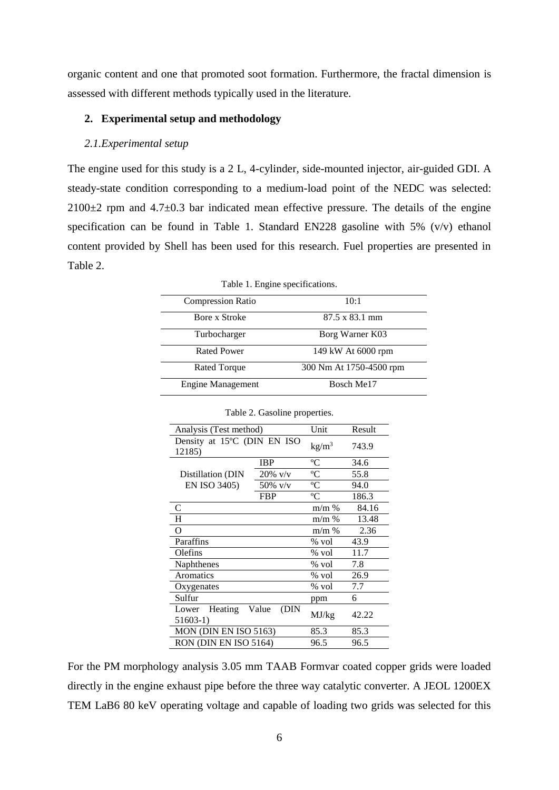organic content and one that promoted soot formation. Furthermore, the fractal dimension is assessed with different methods typically used in the literature.

# **2. Experimental setup and methodology**

#### *2.1.Experimental setup*

The engine used for this study is a 2 L, 4-cylinder, side-mounted injector, air-guided GDI. A steady-state condition corresponding to a medium-load point of the NEDC was selected:  $2100\pm2$  rpm and  $4.7\pm0.3$  bar indicated mean effective pressure. The details of the engine specification can be found in [Table 1.](#page-6-0) Standard EN228 gasoline with 5%  $(v/v)$  ethanol content provided by Shell has been used for this research. Fuel properties are presented in [Table 2.](#page-6-1)

Table 1. Engine specifications.

<span id="page-6-0"></span>

| <b>Compression Ratio</b> | 10:1                    |
|--------------------------|-------------------------|
| Bore x Stroke            | $87.5 \times 83.1$ mm   |
| Turbocharger             | Borg Warner K03         |
| <b>Rated Power</b>       | 149 kW At 6000 rpm      |
| <b>Rated Torque</b>      | 300 Nm At 1750-4500 rpm |
| <b>Engine Management</b> | Bosch Me17              |

<span id="page-6-1"></span>

| Analysis (Test method)                |               | Unit            | Result |
|---------------------------------------|---------------|-----------------|--------|
| Density at 15°C (DIN EN ISO<br>12185) |               | $\text{kg/m}^3$ | 743.9  |
|                                       | <b>IBP</b>    | °C              | 34.6   |
| Distillation (DIN                     | $20\%$ v/v    | $\rm ^{o}C$     | 55.8   |
| EN ISO 3405)                          | $50\%$ v/v    | $\rm ^{o}C$     | 94.0   |
|                                       | <b>FBP</b>    | $\rm ^{o}C$     | 186.3  |
| C                                     |               | $m/m$ %         | 84.16  |
| H                                     |               | $m/m$ %         | 13.48  |
| $\Omega$                              |               | $m/m$ %         | 2.36   |
| Paraffins                             |               | % vol           | 43.9   |
| Olefins                               |               | % vol           | 11.7   |
| Naphthenes                            |               | % vol           | 7.8    |
| Aromatics                             |               | % vol           | 26.9   |
| Oxygenates                            |               | % vol           | 7.7    |
| Sulfur                                |               | ppm             | 6      |
| Heating<br>Lower<br>$51603-1)$        | Value<br>(DIN | MJ/kg           | 42.22  |
| MON (DIN EN ISO 5163)                 |               | 85.3            | 85.3   |
| RON (DIN EN ISO 5164)                 |               | 96.5            | 96.5   |

| Table 2. Gasoline properties. |  |  |
|-------------------------------|--|--|
|-------------------------------|--|--|

For the PM morphology analysis 3.05 mm TAAB Formvar coated copper grids were loaded directly in the engine exhaust pipe before the three way catalytic converter. A JEOL 1200EX TEM LaB6 80 keV operating voltage and capable of loading two grids was selected for this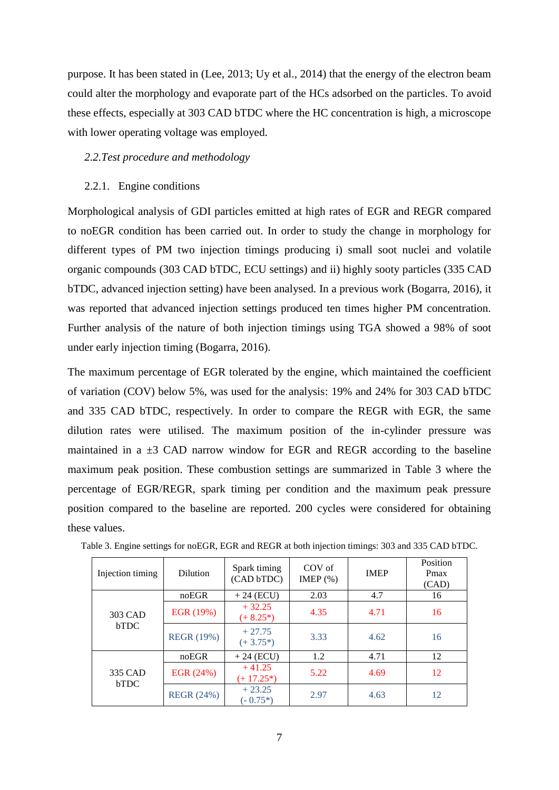purpose. It has been stated in [\(Lee, 2013;](#page-24-6) [Uy et al., 2014\)](#page-25-0) that the energy of the electron beam could alter the morphology and evaporate part of the HCs adsorbed on the particles. To avoid these effects, especially at 303 CAD bTDC where the HC concentration is high, a microscope with lower operating voltage was employed.

#### *2.2.Test procedure and methodology*

#### 2.2.1. Engine conditions

Morphological analysis of GDI particles emitted at high rates of EGR and REGR compared to noEGR condition has been carried out. In order to study the change in morphology for different types of PM two injection timings producing i) small soot nuclei and volatile organic compounds (303 CAD bTDC, ECU settings) and ii) highly sooty particles (335 CAD bTDC, advanced injection setting) have been analysed. In a previous work [\(Bogarra, 2016\)](#page-22-3), it was reported that advanced injection settings produced ten times higher PM concentration. Further analysis of the nature of both injection timings using TGA showed a 98% of soot under early injection timing [\(Bogarra, 2016\)](#page-22-3).

The maximum percentage of EGR tolerated by the engine, which maintained the coefficient of variation (COV) below 5%, was used for the analysis: 19% and 24% for 303 CAD bTDC and 335 CAD bTDC, respectively. In order to compare the REGR with EGR, the same dilution rates were utilised. The maximum position of the in-cylinder pressure was maintained in a  $\pm 3$  CAD narrow window for EGR and REGR according to the baseline maximum peak position. These combustion settings are summarized in [Table 3](#page-7-0) where the percentage of EGR/REGR, spark timing per condition and the maximum peak pressure position compared to the baseline are reported. 200 cycles were considered for obtaining these values.

| Injection timing       | <b>Dilution</b>   | Spark timing<br>(CAD bTDC) | COV of<br>IMEP $(\%)$ | <b>IMEP</b> | Position<br>Pmax<br>(CAD) |
|------------------------|-------------------|----------------------------|-----------------------|-------------|---------------------------|
|                        | noEGR             | $+24$ (ECU)                | 2.03                  | 4.7         | 16                        |
| 303 CAD<br><b>bTDC</b> | EGR (19%)         | $+32.25$<br>$(+ 8.25^*)$   | 4.35                  | 4.71        | 16                        |
|                        | <b>REGR (19%)</b> | $+27.75$<br>$(+3.75^*)$    | 3.33                  | 4.62        | 16                        |
|                        | noEGR             | $+24$ (ECU)                | 1.2                   | 4.71        | 12                        |
| 335 CAD<br><b>bTDC</b> | EGR (24%)         | $+41.25$<br>$(+ 17.25^*)$  | 5.22                  | 4.69        | 12                        |
|                        | <b>REGR (24%)</b> | $+23.25$<br>$(-0.75*)$     | 2.97                  | 4.63        | 12                        |

<span id="page-7-0"></span>Table 3. Engine settings for noEGR, EGR and REGR at both injection timings: 303 and 335 CAD bTDC.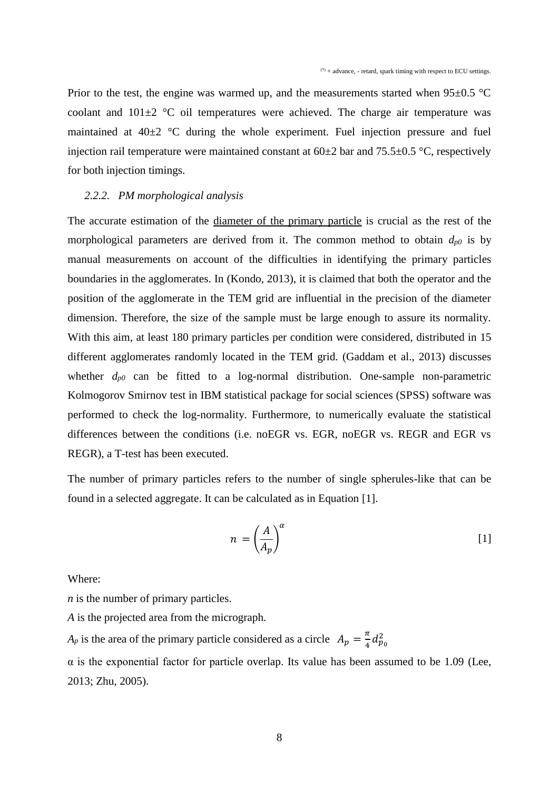Prior to the test, the engine was warmed up, and the measurements started when  $95\pm0.5$  °C coolant and  $101\pm2$  °C oil temperatures were achieved. The charge air temperature was maintained at 40±2 °C during the whole experiment. Fuel injection pressure and fuel injection rail temperature were maintained constant at  $60\pm 2$  bar and  $75.5\pm 0.5$  °C, respectively for both injection timings.

#### *2.2.2. PM morphological analysis*

The accurate estimation of the diameter of the primary particle is crucial as the rest of the morphological parameters are derived from it. The common method to obtain  $d_{p0}$  is by manual measurements on account of the difficulties in identifying the primary particles boundaries in the agglomerates. In [\(Kondo, 2013\)](#page-24-9), it is claimed that both the operator and the position of the agglomerate in the TEM grid are influential in the precision of the diameter dimension. Therefore, the size of the sample must be large enough to assure its normality. With this aim, at least 180 primary particles per condition were considered, distributed in 15 different agglomerates randomly located in the TEM grid. [\(Gaddam et al., 2013\)](#page-23-1) discusses whether  $d_{p0}$  can be fitted to a log-normal distribution. One-sample non-parametric Kolmogorov Smirnov test in IBM statistical package for social sciences (SPSS) software was performed to check the log-normality. Furthermore, to numerically evaluate the statistical differences between the conditions (i.e. noEGR vs. EGR, noEGR vs. REGR and EGR vs REGR), a T-test has been executed.

The number of primary particles refers to the number of single spherules-like that can be found in a selected aggregate. It can be calculated as in Equation [\[1\].](#page-8-0)

<span id="page-8-0"></span>
$$
n = \left(\frac{A}{A_p}\right)^{\alpha} \tag{1}
$$

Where:

*n* is the number of primary particles.

*A* is the projected area from the micrograph.

 $A_p$  is the area of the primary particle considered as a circle  $A_p = \frac{\pi}{4}$  $rac{\pi}{4}d_{p_0}^2$ 

 $\alpha$  is the exponential factor for particle overlap. Its value has been assumed to be 1.09 (Lee, [2013;](#page-24-6) [Zhu, 2005\)](#page-26-5).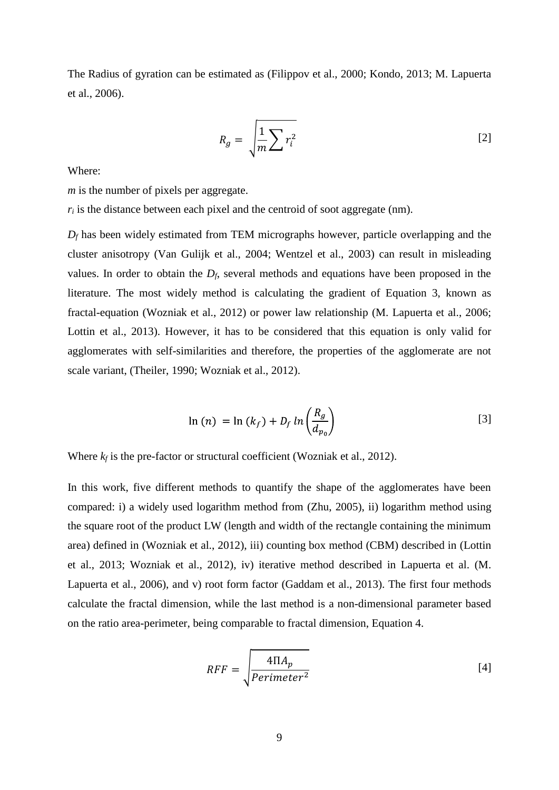The Radius of gyration can be estimated as [\(Filippov et al., 2000;](#page-23-7) [Kondo, 2013;](#page-24-9) [M. Lapuerta](#page-24-7)  [et al., 2006\)](#page-24-7).

$$
R_g = \sqrt{\frac{1}{m} \sum r_i^2}
$$
 [2]

Where:

*m* is the number of pixels per aggregate.

 $r_i$  is the distance between each pixel and the centroid of soot aggregate (nm).

*D<sup>f</sup>* has been widely estimated from TEM micrographs however, particle overlapping and the cluster anisotropy [\(Van Gulijk et al., 2004;](#page-26-6) [Wentzel et al., 2003\)](#page-26-3) can result in misleading values. In order to obtain the  $D_f$ , several methods and equations have been proposed in the literature. The most widely method is calculating the gradient of Equation 3, known as fractal-equation [\(Wozniak et al., 2012\)](#page-26-7) or power law relationship [\(M. Lapuerta et al., 2006;](#page-24-7) [Lottin et al., 2013\)](#page-25-8). However, it has to be considered that this equation is only valid for agglomerates with self-similarities and therefore, the properties of the agglomerate are not scale variant, [\(Theiler, 1990;](#page-25-9) [Wozniak et al., 2012\)](#page-26-7).

$$
\ln(n) = \ln(k_f) + D_f \ln\left(\frac{R_g}{d_{p_0}}\right)
$$
 [3]

Where  $k_f$  is the pre-factor or structural coefficient [\(Wozniak et al., 2012\)](#page-26-7).

In this work, five different methods to quantify the shape of the agglomerates have been compared: i) a widely used logarithm method from [\(Zhu, 2005\)](#page-26-5), ii) logarithm method using the square root of the product LW (length and width of the rectangle containing the minimum area) defined in [\(Wozniak et al., 2012\)](#page-26-7), iii) counting box method (CBM) described in [\(Lottin](#page-25-8)  [et al., 2013;](#page-25-8) [Wozniak et al., 2012\)](#page-26-7), iv) iterative method described in Lapuerta et al. [\(M.](#page-24-7)  [Lapuerta et al., 2006\)](#page-24-7), and v) root form factor [\(Gaddam et al., 2013\)](#page-23-1). The first four methods calculate the fractal dimension, while the last method is a non-dimensional parameter based on the ratio area-perimeter, being comparable to fractal dimension, Equation 4.

$$
RFF = \sqrt{\frac{4\Pi A_p}{Perimeter^2}}
$$
 [4]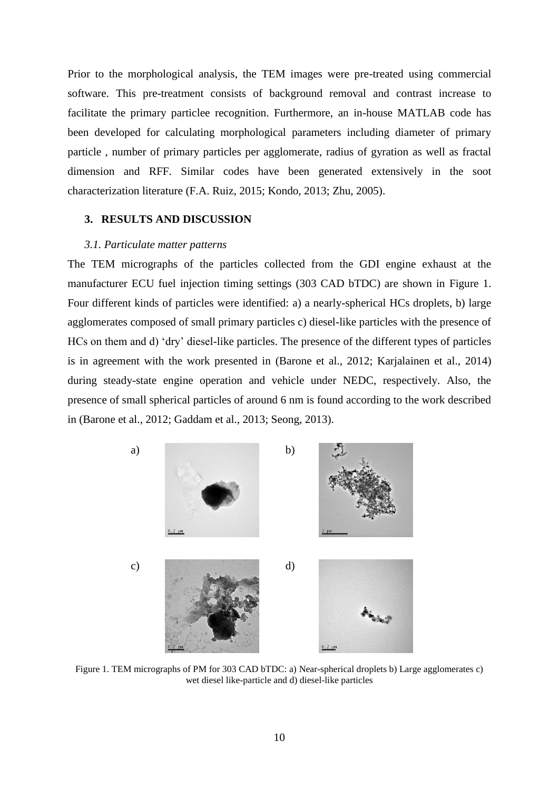Prior to the morphological analysis, the TEM images were pre-treated using commercial software. This pre-treatment consists of background removal and contrast increase to facilitate the primary particlee recognition. Furthermore, an in-house MATLAB code has been developed for calculating morphological parameters including diameter of primary particle , number of primary particles per agglomerate, radius of gyration as well as fractal dimension and RFF. Similar codes have been generated extensively in the soot characterization literature [\(F.A. Ruiz, 2015;](#page-23-8) [Kondo, 2013;](#page-24-9) [Zhu, 2005\)](#page-26-5).

#### **3. RESULTS AND DISCUSSION**

#### *3.1. Particulate matter patterns*

The TEM micrographs of the particles collected from the GDI engine exhaust at the manufacturer ECU fuel injection timing settings (303 CAD bTDC) are shown in [Figure 1.](#page-10-0) Four different kinds of particles were identified: a) a nearly-spherical HCs droplets, b) large agglomerates composed of small primary particles c) diesel-like particles with the presence of HCs on them and d) 'dry' diesel-like particles. The presence of the different types of particles is in agreement with the work presented in [\(Barone et al., 2012;](#page-22-0) [Karjalainen et al., 2014\)](#page-24-1) during steady-state engine operation and vehicle under NEDC, respectively. Also, the presence of small spherical particles of around 6 nm is found according to the work described in [\(Barone et al., 2012;](#page-22-0) [Gaddam et al., 2013;](#page-23-1) [Seong, 2013\)](#page-25-6).

<span id="page-10-0"></span>

Figure 1. TEM micrographs of PM for 303 CAD bTDC: a) Near-spherical droplets b) Large agglomerates c) wet diesel like-particle and d) diesel-like particles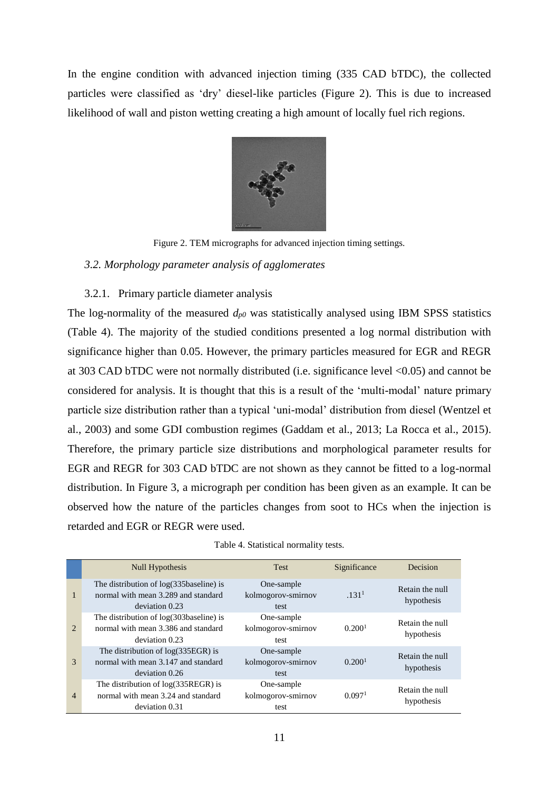In the engine condition with advanced injection timing (335 CAD bTDC), the collected particles were classified as 'dry' diesel-like particles [\(Figure 2\)](#page-11-0). This is due to increased likelihood of wall and piston wetting creating a high amount of locally fuel rich regions.



Figure 2. TEM micrographs for advanced injection timing settings.

# <span id="page-11-0"></span>*3.2. Morphology parameter analysis of agglomerates*

# 3.2.1. Primary particle diameter analysis

The log-normality of the measured  $d_{p0}$  was statistically analysed using IBM SPSS statistics [\(Table 4\)](#page-11-1). The majority of the studied conditions presented a log normal distribution with significance higher than 0.05. However, the primary particles measured for EGR and REGR at 303 CAD bTDC were not normally distributed (i.e. significance level <0.05) and cannot be considered for analysis. It is thought that this is a result of the 'multi-modal' nature primary particle size distribution rather than a typical 'uni-modal' distribution from diesel [\(Wentzel et](#page-26-3)  [al., 2003\)](#page-26-3) and some GDI combustion regimes [\(Gaddam et al., 2013;](#page-23-1) La [Rocca et al., 2015\)](#page-24-2). Therefore, the primary particle size distributions and morphological parameter results for EGR and REGR for 303 CAD bTDC are not shown as they cannot be fitted to a log-normal distribution. In [Figure 3,](#page-12-0) a micrograph per condition has been given as an example. It can be observed how the nature of the particles changes from soot to HCs when the injection is retarded and EGR or REGR were used.

<span id="page-11-1"></span>

|                | Null Hypothesis                                                                                     | <b>Test</b>                              | Significance       | Decision                      |
|----------------|-----------------------------------------------------------------------------------------------------|------------------------------------------|--------------------|-------------------------------|
|                | The distribution of $log(335$ baseline) is<br>normal with mean 3.289 and standard<br>deviation 0.23 | One-sample<br>kolmogorov-smirnov<br>test | .131 <sup>1</sup>  | Retain the null<br>hypothesis |
| $\overline{2}$ | The distribution of $log(303$ baseline) is<br>normal with mean 3.386 and standard<br>deviation 0.23 | One-sample<br>kolmogorov-smirnov<br>test | 0.200 <sup>1</sup> | Retain the null<br>hypothesis |
| 3              | The distribution of $log(335EGR)$ is<br>normal with mean 3.147 and standard<br>deviation 0.26       | One-sample<br>kolmogorov-smirnov<br>test | 0.200 <sup>1</sup> | Retain the null<br>hypothesis |
| $\overline{4}$ | The distribution of log(335REGR) is<br>normal with mean 3.24 and standard<br>deviation 0.31         | One-sample<br>kolmogorov-smirnov<br>test | 0.097 <sup>1</sup> | Retain the null<br>hypothesis |

| Table 4. Statistical normality tests. |  |
|---------------------------------------|--|
|---------------------------------------|--|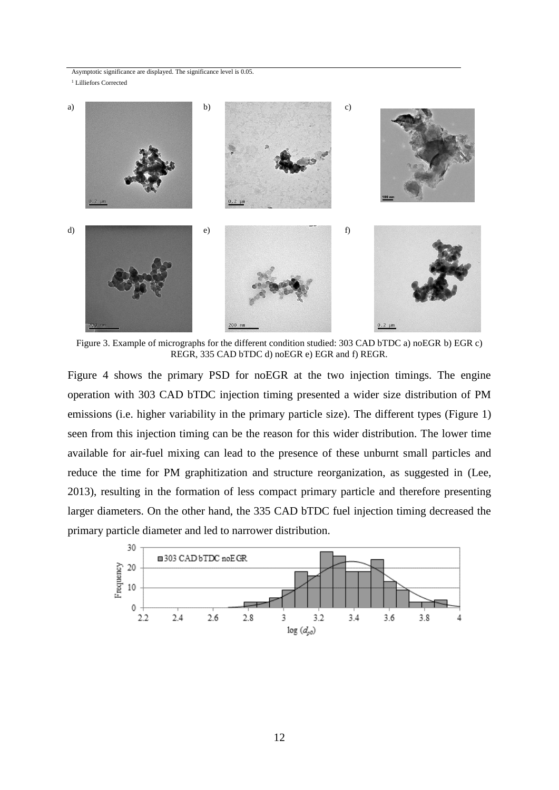Asymptotic significance are displayed. The significance level is 0.05.

<sup>1</sup> Lilliefors Corrected



<span id="page-12-0"></span>Figure 3. Example of micrographs for the different condition studied: 303 CAD bTDC a) noEGR b) EGR c) REGR, 335 CAD bTDC d) noEGR e) EGR and f) REGR.

[Figure 4](#page-13-0) shows the primary PSD for noEGR at the two injection timings. The engine operation with 303 CAD bTDC injection timing presented a wider size distribution of PM emissions (i.e. higher variability in the primary particle size). The different types [\(Figure 1\)](#page-10-0) seen from this injection timing can be the reason for this wider distribution. The lower time available for air-fuel mixing can lead to the presence of these unburnt small particles and reduce the time for PM graphitization and structure reorganization, as suggested in [\(Lee,](#page-24-6)  [2013\)](#page-24-6), resulting in the formation of less compact primary particle and therefore presenting larger diameters. On the other hand, the 335 CAD bTDC fuel injection timing decreased the primary particle diameter and led to narrower distribution.

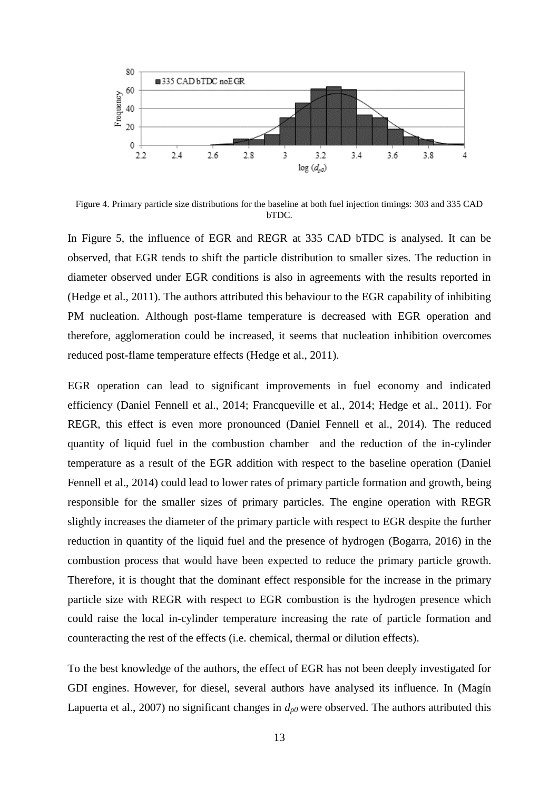

<span id="page-13-0"></span>Figure 4. Primary particle size distributions for the baseline at both fuel injection timings: 303 and 335 CAD bTDC.

In [Figure 5,](#page-15-0) the influence of EGR and REGR at 335 CAD bTDC is analysed. It can be observed, that EGR tends to shift the particle distribution to smaller sizes. The reduction in diameter observed under EGR conditions is also in agreements with the results reported in [\(Hedge et al., 2011\)](#page-24-10). The authors attributed this behaviour to the EGR capability of inhibiting PM nucleation. Although post-flame temperature is decreased with EGR operation and therefore, agglomeration could be increased, it seems that nucleation inhibition overcomes reduced post-flame temperature effects [\(Hedge et al., 2011\)](#page-24-10).

EGR operation can lead to significant improvements in fuel economy and indicated efficiency [\(Daniel Fennell et al., 2014;](#page-23-3) [Francqueville et al., 2014;](#page-23-9) [Hedge et al., 2011\)](#page-24-10). For REGR, this effect is even more pronounced [\(Daniel Fennell et al., 2014\)](#page-23-3). The reduced quantity of liquid fuel in the combustion chamber and the reduction of the in-cylinder temperature as a result of the EGR addition with respect to the baseline operation [\(Daniel](#page-23-3)  [Fennell et al., 2014\)](#page-23-3) could lead to lower rates of primary particle formation and growth, being responsible for the smaller sizes of primary particles. The engine operation with REGR slightly increases the diameter of the primary particle with respect to EGR despite the further reduction in quantity of the liquid fuel and the presence of hydrogen [\(Bogarra, 2016\)](#page-22-3) in the combustion process that would have been expected to reduce the primary particle growth. Therefore, it is thought that the dominant effect responsible for the increase in the primary particle size with REGR with respect to EGR combustion is the hydrogen presence which could raise the local in-cylinder temperature increasing the rate of particle formation and counteracting the rest of the effects (i.e. chemical, thermal or dilution effects).

To the best knowledge of the authors, the effect of EGR has not been deeply investigated for GDI engines. However, for diesel, several authors have analysed its influence. In [\(Magín](#page-24-5)  [Lapuerta et al., 2007\)](#page-24-5) no significant changes in *dp0* were observed. The authors attributed this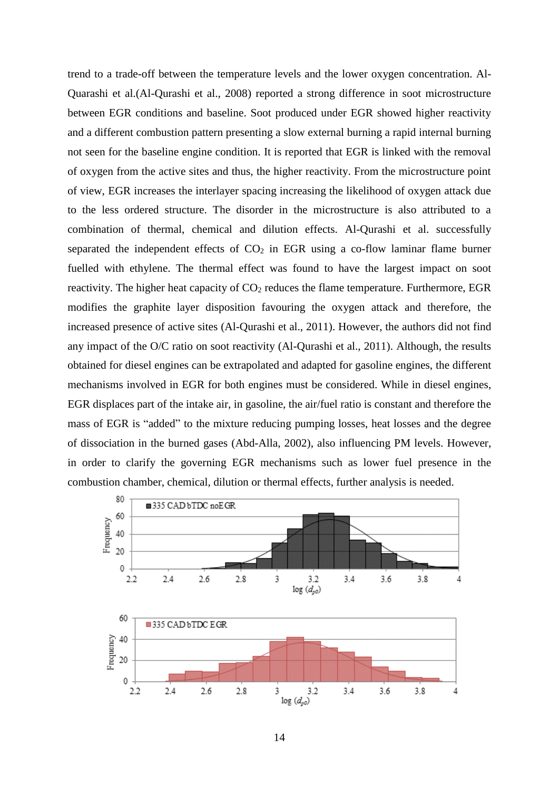trend to a trade-off between the temperature levels and the lower oxygen concentration. Al-Quarashi et al.[\(Al-Qurashi et al., 2008\)](#page-22-2) reported a strong difference in soot microstructure between EGR conditions and baseline. Soot produced under EGR showed higher reactivity and a different combustion pattern presenting a slow external burning a rapid internal burning not seen for the baseline engine condition. It is reported that EGR is linked with the removal of oxygen from the active sites and thus, the higher reactivity. From the microstructure point of view, EGR increases the interlayer spacing increasing the likelihood of oxygen attack due to the less ordered structure. The disorder in the microstructure is also attributed to a combination of thermal, chemical and dilution effects. Al-Qurashi et al. successfully separated the independent effects of  $CO<sub>2</sub>$  in EGR using a co-flow laminar flame burner fuelled with ethylene. The thermal effect was found to have the largest impact on soot reactivity. The higher heat capacity of  $CO<sub>2</sub>$  reduces the flame temperature. Furthermore, EGR modifies the graphite layer disposition favouring the oxygen attack and therefore, the increased presence of active sites [\(Al-Qurashi et al., 2011\)](#page-22-6). However, the authors did not find any impact of the O/C ratio on soot reactivity [\(Al-Qurashi et al., 2011\)](#page-22-6). Although, the results obtained for diesel engines can be extrapolated and adapted for gasoline engines, the different mechanisms involved in EGR for both engines must be considered. While in diesel engines, EGR displaces part of the intake air, in gasoline, the air/fuel ratio is constant and therefore the mass of EGR is "added" to the mixture reducing pumping losses, heat losses and the degree of dissociation in the burned gases [\(Abd-Alla, 2002\)](#page-22-7), also influencing PM levels. However, in order to clarify the governing EGR mechanisms such as lower fuel presence in the combustion chamber, chemical, dilution or thermal effects, further analysis is needed.

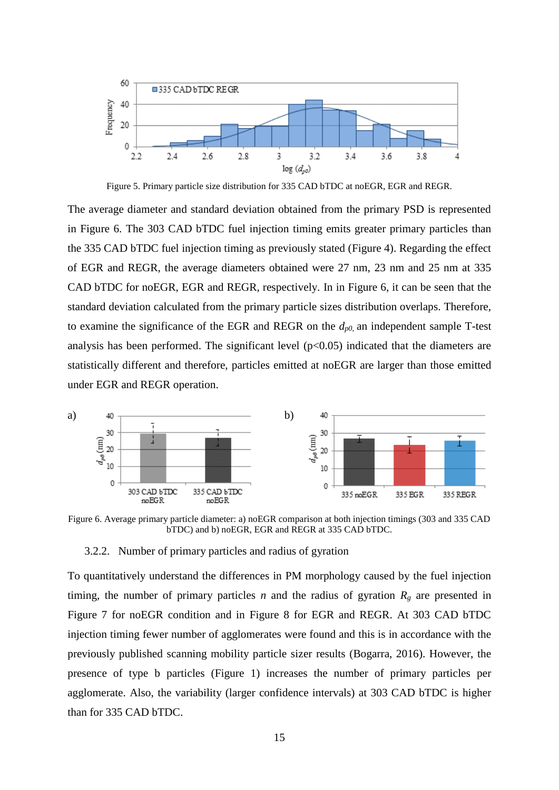

Figure 5. Primary particle size distribution for 335 CAD bTDC at noEGR, EGR and REGR.

<span id="page-15-0"></span>The average diameter and standard deviation obtained from the primary PSD is represented in [Figure 6.](#page-15-1) The 303 CAD bTDC fuel injection timing emits greater primary particles than the 335 CAD bTDC fuel injection timing as previously stated [\(Figure 4\)](#page-13-0). Regarding the effect of EGR and REGR, the average diameters obtained were 27 nm, 23 nm and 25 nm at 335 CAD bTDC for noEGR, EGR and REGR, respectively. In in [Figure 6,](#page-15-1) it can be seen that the standard deviation calculated from the primary particle sizes distribution overlaps. Therefore, to examine the significance of the EGR and REGR on the *dp0*, an independent sample T-test analysis has been performed. The significant level  $(p<0.05)$  indicated that the diameters are statistically different and therefore, particles emitted at noEGR are larger than those emitted under EGR and REGR operation.



<span id="page-15-1"></span>Figure 6. Average primary particle diameter: a) noEGR comparison at both injection timings (303 and 335 CAD bTDC) and b) noEGR, EGR and REGR at 335 CAD bTDC.

# 3.2.2. Number of primary particles and radius of gyration

To quantitatively understand the differences in PM morphology caused by the fuel injection timing, the number of primary particles  $n$  and the radius of gyration  $R_g$  are presented in [Figure 7](#page-18-0) for noEGR condition and in [Figure 8](#page-18-1) for EGR and REGR. At 303 CAD bTDC injection timing fewer number of agglomerates were found and this is in accordance with the previously published scanning mobility particle sizer results [\(Bogarra, 2016\)](#page-22-3). However, the presence of type b particles [\(Figure 1\)](#page-10-0) increases the number of primary particles per agglomerate. Also, the variability (larger confidence intervals) at 303 CAD bTDC is higher than for 335 CAD bTDC.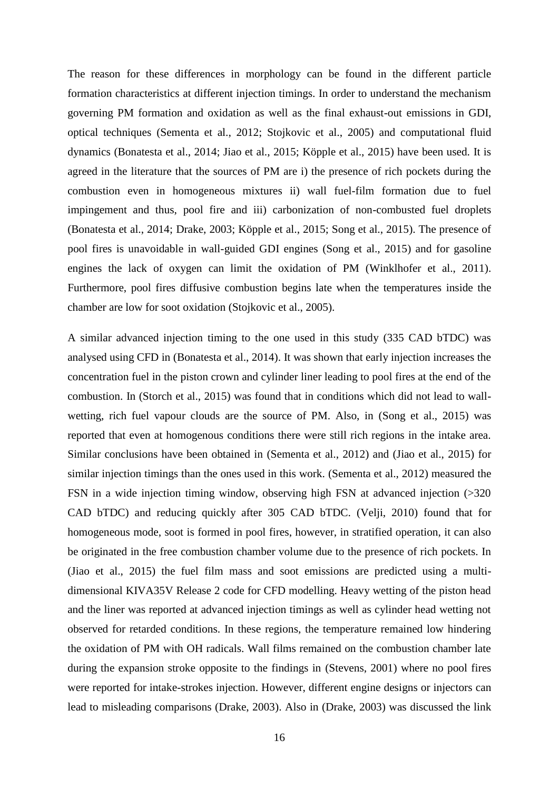The reason for these differences in morphology can be found in the different particle formation characteristics at different injection timings. In order to understand the mechanism governing PM formation and oxidation as well as the final exhaust-out emissions in GDI, optical techniques [\(Sementa et al., 2012;](#page-25-10) [Stojkovic et al., 2005\)](#page-25-11) and computational fluid dynamics [\(Bonatesta et al., 2014;](#page-22-8) [Jiao et al., 2015;](#page-24-11) [Köpple et al., 2015\)](#page-24-12) have been used. It is agreed in the literature that the sources of PM are i) the presence of rich pockets during the combustion even in homogeneous mixtures ii) wall fuel-film formation due to fuel impingement and thus, pool fire and iii) carbonization of non-combusted fuel droplets [\(Bonatesta et al., 2014;](#page-22-8) [Drake, 2003;](#page-23-10) [Köpple et al., 2015;](#page-24-12) [Song et al., 2015\)](#page-25-12). The presence of pool fires is unavoidable in wall-guided GDI engines [\(Song et al., 2015\)](#page-25-12) and for gasoline engines the lack of oxygen can limit the oxidation of PM [\(Winklhofer et al., 2011\)](#page-26-8). Furthermore, pool fires diffusive combustion begins late when the temperatures inside the chamber are low for soot oxidation [\(Stojkovic et al., 2005\)](#page-25-11).

A similar advanced injection timing to the one used in this study (335 CAD bTDC) was analysed using CFD in [\(Bonatesta et al., 2014\)](#page-22-8). It was shown that early injection increases the concentration fuel in the piston crown and cylinder liner leading to pool fires at the end of the combustion. In [\(Storch et al., 2015\)](#page-25-13) was found that in conditions which did not lead to wallwetting, rich fuel vapour clouds are the source of PM. Also, in [\(Song et al., 2015\)](#page-25-12) was reported that even at homogenous conditions there were still rich regions in the intake area. Similar conclusions have been obtained in [\(Sementa et al.,](#page-25-10) 2012) and [\(Jiao et al., 2015\)](#page-24-11) for similar injection timings than the ones used in this work. [\(Sementa et al., 2012\)](#page-25-10) measured the FSN in a wide injection timing window, observing high FSN at advanced injection (>320 CAD bTDC) and reducing quickly after 305 CAD bTDC. [\(Velji, 2010\)](#page-26-9) found that for homogeneous mode, soot is formed in pool fires, however, in stratified operation, it can also be originated in the free combustion chamber volume due to the presence of rich pockets. In [\(Jiao et al., 2015\)](#page-24-11) the fuel film mass and soot emissions are predicted using a multidimensional KIVA35V Release 2 code for CFD modelling. Heavy wetting of the piston head and the liner was reported at advanced injection timings as well as cylinder head wetting not observed for retarded conditions. In these regions, the temperature remained low hindering the oxidation of PM with OH radicals. Wall films remained on the combustion chamber late during the expansion stroke opposite to the findings in [\(Stevens, 2001\)](#page-25-14) where no pool fires were reported for intake-strokes injection. However, different engine designs or injectors can lead to misleading comparisons [\(Drake, 2003\)](#page-23-10). Also in [\(Drake, 2003\)](#page-23-10) was discussed the link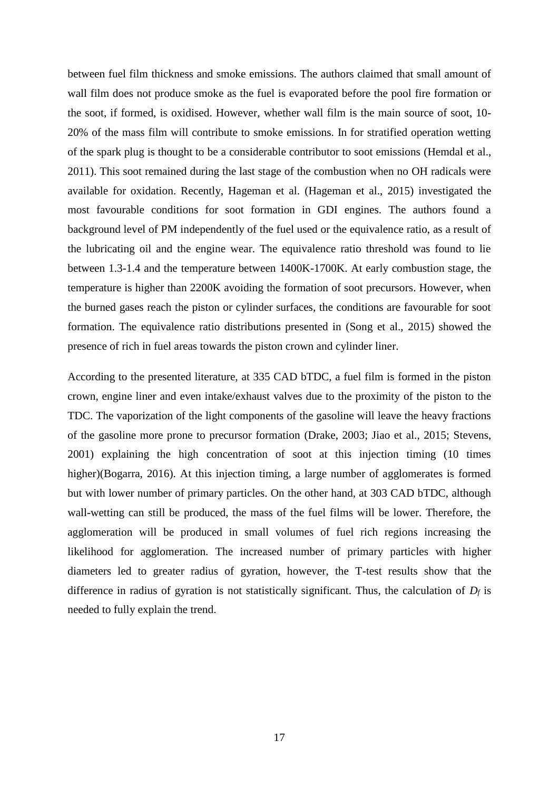between fuel film thickness and smoke emissions. The authors claimed that small amount of wall film does not produce smoke as the fuel is evaporated before the pool fire formation or the soot, if formed, is oxidised. However, whether wall film is the main source of soot, 10- 20% of the mass film will contribute to smoke emissions. In for stratified operation wetting of the spark plug is thought to be a considerable contributor to soot emissions [\(Hemdal et al.,](#page-24-13)  [2011\)](#page-24-13). This soot remained during the last stage of the combustion when no OH radicals were available for oxidation. Recently, Hageman et al. [\(Hageman et al., 2015\)](#page-23-11) investigated the most favourable conditions for soot formation in GDI engines. The authors found a background level of PM independently of the fuel used or the equivalence ratio, as a result of the lubricating oil and the engine wear. The equivalence ratio threshold was found to lie between 1.3-1.4 and the temperature between 1400K-1700K. At early combustion stage, the temperature is higher than 2200K avoiding the formation of soot precursors. However, when the burned gases reach the piston or cylinder surfaces, the conditions are favourable for soot formation. The equivalence ratio distributions presented in [\(Song et al., 2015\)](#page-25-12) showed the presence of rich in fuel areas towards the piston crown and cylinder liner.

According to the presented literature, at 335 CAD bTDC, a fuel film is formed in the piston crown, engine liner and even intake/exhaust valves due to the proximity of the piston to the TDC. The vaporization of the light components of the gasoline will leave the heavy fractions of the gasoline more prone to precursor formation [\(Drake, 2003;](#page-23-10) [Jiao et al., 2015;](#page-24-11) [Stevens,](#page-25-14)  [2001\)](#page-25-14) explaining the high concentration of soot at this injection timing (10 times higher)[\(Bogarra, 2016\)](#page-22-3). At this injection timing, a large number of agglomerates is formed but with lower number of primary particles. On the other hand, at 303 CAD bTDC, although wall-wetting can still be produced, the mass of the fuel films will be lower. Therefore, the agglomeration will be produced in small volumes of fuel rich regions increasing the likelihood for agglomeration. The increased number of primary particles with higher diameters led to greater radius of gyration, however, the T-test results show that the difference in radius of gyration is not statistically significant. Thus, the calculation of  $D_f$  is needed to fully explain the trend.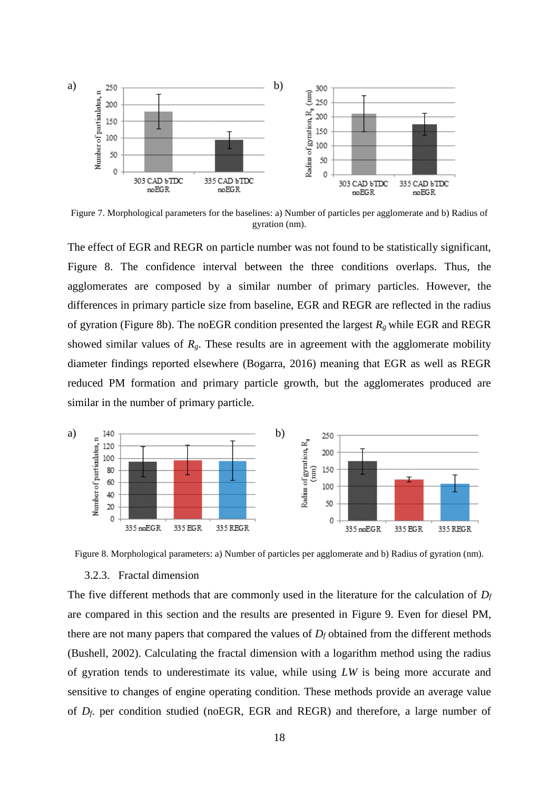

<span id="page-18-0"></span>Figure 7. Morphological parameters for the baselines: a) Number of particles per agglomerate and b) Radius of gyration (nm).

The effect of EGR and REGR on particle number was not found to be statistically significant, [Figure 8.](#page-18-1) The confidence interval between the three conditions overlaps. Thus, the agglomerates are composed by a similar number of primary particles. However, the differences in primary particle size from baseline, EGR and REGR are reflected in the radius of gyration [\(Figure 8b](#page-18-1)). The noEGR condition presented the largest  $R_g$  while EGR and REGR showed similar values of  $R_g$ . These results are in agreement with the agglomerate mobility diameter findings reported elsewhere [\(Bogarra, 2016\)](#page-22-3) meaning that EGR as well as REGR reduced PM formation and primary particle growth, but the agglomerates produced are similar in the number of primary particle.



<span id="page-18-1"></span>Figure 8. Morphological parameters: a) Number of particles per agglomerate and b) Radius of gyration (nm).

#### 3.2.3. Fractal dimension

The five different methods that are commonly used in the literature for the calculation of  $D_f$ are compared in this section and the results are presented in [Figure 9.](#page-19-0) Even for diesel PM, there are not many papers that compared the values of  $D_f$  obtained from the different methods [\(Bushell, 2002\)](#page-23-12). Calculating the fractal dimension with a logarithm method using the radius of gyration tends to underestimate its value, while using *LW* is being more accurate and sensitive to changes of engine operating condition. These methods provide an average value of *Df*. per condition studied (noEGR, EGR and REGR) and therefore, a large number of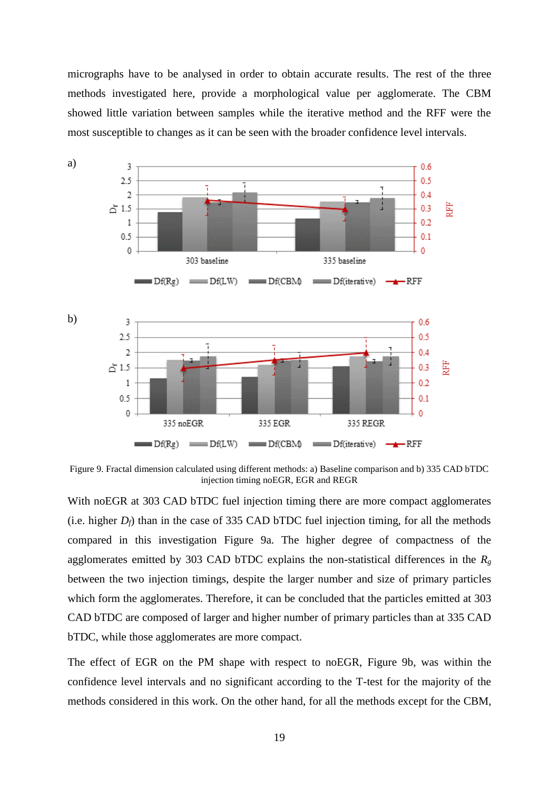micrographs have to be analysed in order to obtain accurate results. The rest of the three methods investigated here, provide a morphological value per agglomerate. The CBM showed little variation between samples while the iterative method and the RFF were the most susceptible to changes as it can be seen with the broader confidence level intervals.



<span id="page-19-0"></span>Figure 9. Fractal dimension calculated using different methods: a) Baseline comparison and b) 335 CAD bTDC injection timing noEGR, EGR and REGR

With noEGR at 303 CAD bTDC fuel injection timing there are more compact agglomerates (i.e. higher  $D_f$ ) than in the case of 335 CAD bTDC fuel injection timing, for all the methods compared in this investigation [Figure 9a](#page-19-0). The higher degree of compactness of the agglomerates emitted by 303 CAD bTDC explains the non-statistical differences in the *R<sup>g</sup>* between the two injection timings, despite the larger number and size of primary particles which form the agglomerates. Therefore, it can be concluded that the particles emitted at 303 CAD bTDC are composed of larger and higher number of primary particles than at 335 CAD bTDC, while those agglomerates are more compact.

The effect of EGR on the PM shape with respect to noEGR, [Figure 9b](#page-19-0), was within the confidence level intervals and no significant according to the T-test for the majority of the methods considered in this work. On the other hand, for all the methods except for the CBM,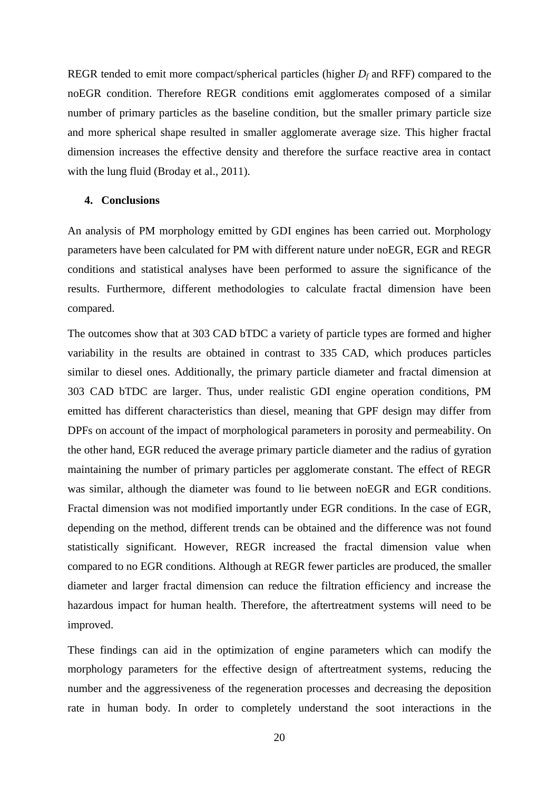REGR tended to emit more compact/spherical particles (higher *D<sup>f</sup>* and RFF) compared to the noEGR condition. Therefore REGR conditions emit agglomerates composed of a similar number of primary particles as the baseline condition, but the smaller primary particle size and more spherical shape resulted in smaller agglomerate average size. This higher fractal dimension increases the effective density and therefore the surface reactive area in contact with the lung fluid [\(Broday et al., 2011\)](#page-22-1).

# **4. Conclusions**

An analysis of PM morphology emitted by GDI engines has been carried out. Morphology parameters have been calculated for PM with different nature under noEGR, EGR and REGR conditions and statistical analyses have been performed to assure the significance of the results. Furthermore, different methodologies to calculate fractal dimension have been compared.

The outcomes show that at 303 CAD bTDC a variety of particle types are formed and higher variability in the results are obtained in contrast to 335 CAD, which produces particles similar to diesel ones. Additionally, the primary particle diameter and fractal dimension at 303 CAD bTDC are larger. Thus, under realistic GDI engine operation conditions, PM emitted has different characteristics than diesel, meaning that GPF design may differ from DPFs on account of the impact of morphological parameters in porosity and permeability. On the other hand, EGR reduced the average primary particle diameter and the radius of gyration maintaining the number of primary particles per agglomerate constant. The effect of REGR was similar, although the diameter was found to lie between noEGR and EGR conditions. Fractal dimension was not modified importantly under EGR conditions. In the case of EGR, depending on the method, different trends can be obtained and the difference was not found statistically significant. However, REGR increased the fractal dimension value when compared to no EGR conditions. Although at REGR fewer particles are produced, the smaller diameter and larger fractal dimension can reduce the filtration efficiency and increase the hazardous impact for human health. Therefore, the aftertreatment systems will need to be improved.

These findings can aid in the optimization of engine parameters which can modify the morphology parameters for the effective design of aftertreatment systems, reducing the number and the aggressiveness of the regeneration processes and decreasing the deposition rate in human body. In order to completely understand the soot interactions in the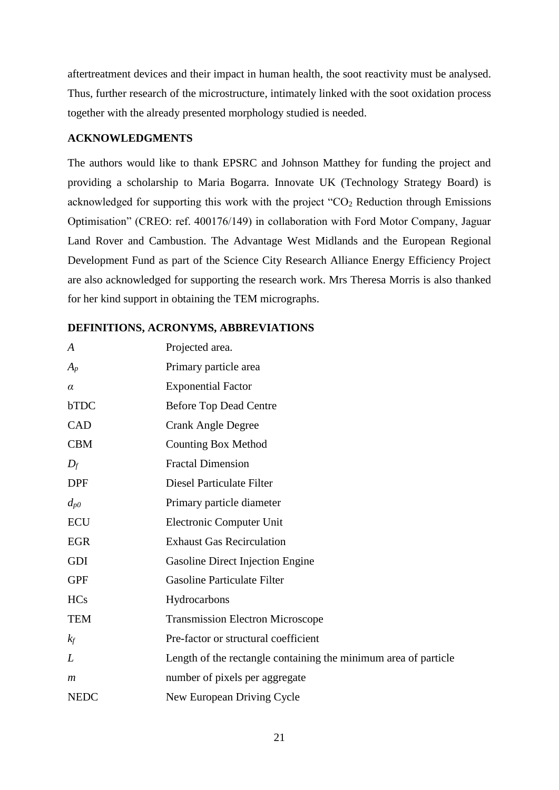aftertreatment devices and their impact in human health, the soot reactivity must be analysed. Thus, further research of the microstructure, intimately linked with the soot oxidation process together with the already presented morphology studied is needed.

# **ACKNOWLEDGMENTS**

The authors would like to thank EPSRC and Johnson Matthey for funding the project and providing a scholarship to Maria Bogarra. Innovate UK (Technology Strategy Board) is acknowledged for supporting this work with the project " $CO<sub>2</sub>$  Reduction through Emissions Optimisation" (CREO: ref. 400176/149) in collaboration with Ford Motor Company, Jaguar Land Rover and Cambustion. The Advantage West Midlands and the European Regional Development Fund as part of the Science City Research Alliance Energy Efficiency Project are also acknowledged for supporting the research work. Mrs Theresa Morris is also thanked for her kind support in obtaining the TEM micrographs.

# **DEFINITIONS, ACRONYMS, ABBREVIATIONS**

| A                | Projected area.                                                 |
|------------------|-----------------------------------------------------------------|
| $A_p$            | Primary particle area                                           |
| $\alpha$         | <b>Exponential Factor</b>                                       |
| bTDC             | <b>Before Top Dead Centre</b>                                   |
| <b>CAD</b>       | <b>Crank Angle Degree</b>                                       |
| <b>CBM</b>       | <b>Counting Box Method</b>                                      |
| $D_f$            | <b>Fractal Dimension</b>                                        |
| <b>DPF</b>       | Diesel Particulate Filter                                       |
| $d_{p0}$         | Primary particle diameter                                       |
| <b>ECU</b>       | Electronic Computer Unit                                        |
| <b>EGR</b>       | <b>Exhaust Gas Recirculation</b>                                |
| <b>GDI</b>       | Gasoline Direct Injection Engine                                |
| <b>GPF</b>       | <b>Gasoline Particulate Filter</b>                              |
| <b>HCs</b>       | Hydrocarbons                                                    |
| <b>TEM</b>       | <b>Transmission Electron Microscope</b>                         |
| $k_f$            | Pre-factor or structural coefficient                            |
| L                | Length of the rectangle containing the minimum area of particle |
| $\boldsymbol{m}$ | number of pixels per aggregate                                  |
| <b>NEDC</b>      | New European Driving Cycle                                      |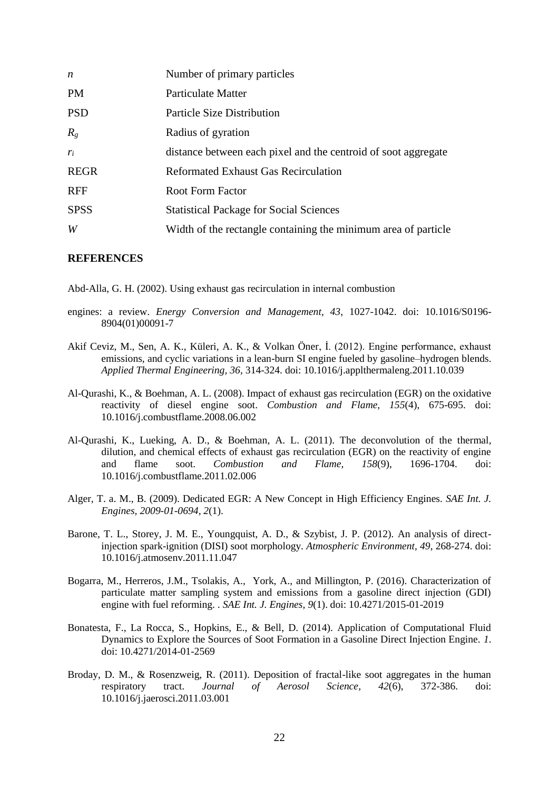| $\boldsymbol{n}$ | Number of primary particles                                    |
|------------------|----------------------------------------------------------------|
| <b>PM</b>        | <b>Particulate Matter</b>                                      |
| <b>PSD</b>       | Particle Size Distribution                                     |
| $R_{g}$          | Radius of gyration                                             |
| $r_i$            | distance between each pixel and the centroid of soot aggregate |
| <b>REGR</b>      | <b>Reformated Exhaust Gas Recirculation</b>                    |
| <b>RFF</b>       | Root Form Factor                                               |
| <b>SPSS</b>      | <b>Statistical Package for Social Sciences</b>                 |
| W                | Width of the rectangle containing the minimum area of particle |

#### **REFERENCES**

<span id="page-22-7"></span>Abd-Alla, G. H. (2002). Using exhaust gas recirculation in internal combustion

- engines: a review. *Energy Conversion and Management, 43*, 1027-1042. doi: 10.1016/S0196- 8904(01)00091-7
- <span id="page-22-4"></span>Akif Ceviz, M., Sen, A. K., Küleri, A. K., & Volkan Öner, İ. (2012). Engine performance, exhaust emissions, and cyclic variations in a lean-burn SI engine fueled by gasoline–hydrogen blends. *Applied Thermal Engineering, 36*, 314-324. doi: 10.1016/j.applthermaleng.2011.10.039
- <span id="page-22-2"></span>Al-Qurashi, K., & Boehman, A. L. (2008). Impact of exhaust gas recirculation (EGR) on the oxidative reactivity of diesel engine soot. *Combustion and Flame, 155*(4), 675-695. doi: 10.1016/j.combustflame.2008.06.002
- <span id="page-22-6"></span>Al-Qurashi, K., Lueking, A. D., & Boehman, A. L. (2011). The deconvolution of the thermal, dilution, and chemical effects of exhaust gas recirculation (EGR) on the reactivity of engine and flame soot. *Combustion and Flame, 158*(9), 1696-1704. doi: 10.1016/j.combustflame.2011.02.006
- <span id="page-22-5"></span>Alger, T. a. M., B. (2009). Dedicated EGR: A New Concept in High Efficiency Engines. *SAE Int. J. Engines, 2009-01-0694, 2*(1).
- <span id="page-22-0"></span>Barone, T. L., Storey, J. M. E., Youngquist, A. D., & Szybist, J. P. (2012). An analysis of directinjection spark-ignition (DISI) soot morphology. *Atmospheric Environment, 49*, 268-274. doi: 10.1016/j.atmosenv.2011.11.047
- <span id="page-22-3"></span>Bogarra, M., Herreros, J.M., Tsolakis, A., York, A., and Millington, P. (2016). Characterization of particulate matter sampling system and emissions from a gasoline direct injection (GDI) engine with fuel reforming. . *SAE Int. J. Engines, 9*(1). doi: 10.4271/2015-01-2019
- <span id="page-22-8"></span>Bonatesta, F., La Rocca, S., Hopkins, E., & Bell, D. (2014). Application of Computational Fluid Dynamics to Explore the Sources of Soot Formation in a Gasoline Direct Injection Engine. *1*. doi: 10.4271/2014-01-2569
- <span id="page-22-1"></span>Broday, D. M., & Rosenzweig, R. (2011). Deposition of fractal-like soot aggregates in the human respiratory tract. *Journal of Aerosol Science, 42*(6), 372-386. doi: 10.1016/j.jaerosci.2011.03.001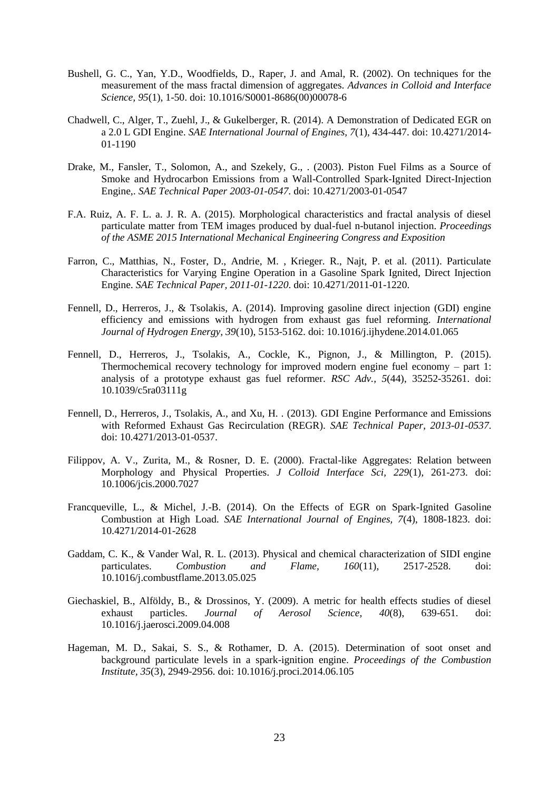- <span id="page-23-12"></span>Bushell, G. C., Yan, Y.D., Woodfields, D., Raper, J. and Amal, R. (2002). On techniques for the measurement of the mass fractal dimension of aggregates. *Advances in Colloid and Interface Science, 95*(1), 1-50. doi: 10.1016/S0001-8686(00)00078-6
- <span id="page-23-6"></span>Chadwell, C., Alger, T., Zuehl, J., & Gukelberger, R. (2014). A Demonstration of Dedicated EGR on a 2.0 L GDI Engine. *SAE International Journal of Engines, 7*(1), 434-447. doi: 10.4271/2014- 01-1190
- <span id="page-23-10"></span>Drake, M., Fansler, T., Solomon, A., and Szekely, G., . (2003). Piston Fuel Films as a Source of Smoke and Hydrocarbon Emissions from a Wall-Controlled Spark-Ignited Direct-Injection Engine,. *SAE Technical Paper 2003-01-0547*. doi: 10.4271/2003-01-0547
- <span id="page-23-8"></span>F.A. Ruiz, A. F. L. a. J. R. A. (2015). Morphological characteristics and fractal analysis of diesel particulate matter from TEM images produced by dual-fuel n-butanol injection. *Proceedings of the ASME 2015 International Mechanical Engineering Congress and Exposition*
- <span id="page-23-0"></span>Farron, C., Matthias, N., Foster, D., Andrie, M. , Krieger. R., Najt, P. et al. (2011). Particulate Characteristics for Varying Engine Operation in a Gasoline Spark Ignited, Direct Injection Engine. *SAE Technical Paper, 2011-01-1220*. doi: 10.4271/2011-01-1220.
- <span id="page-23-3"></span>Fennell, D., Herreros, J., & Tsolakis, A. (2014). Improving gasoline direct injection (GDI) engine efficiency and emissions with hydrogen from exhaust gas fuel reforming. *International Journal of Hydrogen Energy, 39*(10), 5153-5162. doi: 10.1016/j.ijhydene.2014.01.065
- <span id="page-23-5"></span>Fennell, D., Herreros, J., Tsolakis, A., Cockle, K., Pignon, J., & Millington, P. (2015). Thermochemical recovery technology for improved modern engine fuel economy – part 1: analysis of a prototype exhaust gas fuel reformer. *RSC Adv., 5*(44), 35252-35261. doi: 10.1039/c5ra03111g
- <span id="page-23-4"></span>Fennell, D., Herreros, J., Tsolakis, A., and Xu, H. . (2013). GDI Engine Performance and Emissions with Reformed Exhaust Gas Recirculation (REGR). *SAE Technical Paper, 2013-01-0537*. doi: 10.4271/2013-01-0537.
- <span id="page-23-7"></span>Filippov, A. V., Zurita, M., & Rosner, D. E. (2000). Fractal-like Aggregates: Relation between Morphology and Physical Properties. *J Colloid Interface Sci, 229*(1), 261-273. doi: 10.1006/jcis.2000.7027
- <span id="page-23-9"></span>Francqueville, L., & Michel, J.-B. (2014). On the Effects of EGR on Spark-Ignited Gasoline Combustion at High Load. *SAE International Journal of Engines, 7*(4), 1808-1823. doi: 10.4271/2014-01-2628
- <span id="page-23-1"></span>Gaddam, C. K., & Vander Wal, R. L. (2013). Physical and chemical characterization of SIDI engine particulates. *Combustion and Flame, 160*(11), 2517-2528. doi: 10.1016/j.combustflame.2013.05.025
- <span id="page-23-2"></span>Giechaskiel, B., Alföldy, B., & Drossinos, Y. (2009). A metric for health effects studies of diesel exhaust particles. *Journal of Aerosol Science, 40*(8), 639-651. doi: 10.1016/j.jaerosci.2009.04.008
- <span id="page-23-11"></span>Hageman, M. D., Sakai, S. S., & Rothamer, D. A. (2015). Determination of soot onset and background particulate levels in a spark-ignition engine. *Proceedings of the Combustion Institute, 35*(3), 2949-2956. doi: 10.1016/j.proci.2014.06.105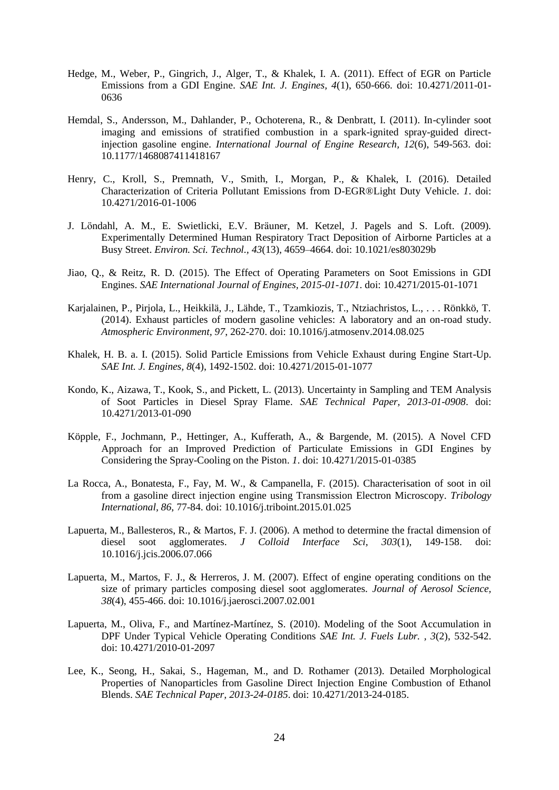- <span id="page-24-10"></span>Hedge, M., Weber, P., Gingrich, J., Alger, T., & Khalek, I. A. (2011). Effect of EGR on Particle Emissions from a GDI Engine. *SAE Int. J. Engines, 4*(1), 650-666. doi: 10.4271/2011-01- 0636
- <span id="page-24-13"></span>Hemdal, S., Andersson, M., Dahlander, P., Ochoterena, R., & Denbratt, I. (2011). In-cylinder soot imaging and emissions of stratified combustion in a spark-ignited spray-guided directinjection gasoline engine. *International Journal of Engine Research, 12*(6), 549-563. doi: 10.1177/1468087411418167
- <span id="page-24-8"></span>Henry, C., Kroll, S., Premnath, V., Smith, I., Morgan, P., & Khalek, I. (2016). Detailed Characterization of Criteria Pollutant Emissions from D-EGR®Light Duty Vehicle. *1*. doi: 10.4271/2016-01-1006
- <span id="page-24-4"></span>J. Löndahl, A. M., E. Swietlicki, E.V. Bräuner, M. Ketzel, J. Pagels and S. Loft. (2009). Experimentally Determined Human Respiratory Tract Deposition of Airborne Particles at a Busy Street. *Environ. Sci. Technol., 43*(13), 4659–4664. doi: 10.1021/es803029b
- <span id="page-24-11"></span>Jiao, Q., & Reitz, R. D. (2015). The Effect of Operating Parameters on Soot Emissions in GDI Engines. *SAE International Journal of Engines, 2015-01-1071*. doi: 10.4271/2015-01-1071
- <span id="page-24-1"></span>Karjalainen, P., Pirjola, L., Heikkilä, J., Lähde, T., Tzamkiozis, T., Ntziachristos, L., . . . Rönkkö, T. (2014). Exhaust particles of modern gasoline vehicles: A laboratory and an on-road study. *Atmospheric Environment, 97*, 262-270. doi: 10.1016/j.atmosenv.2014.08.025
- <span id="page-24-0"></span>Khalek, H. B. a. I. (2015). Solid Particle Emissions from Vehicle Exhaust during Engine Start-Up. *SAE Int. J. Engines, 8*(4), 1492-1502. doi: 10.4271/2015-01-1077
- <span id="page-24-9"></span>Kondo, K., Aizawa, T., Kook, S., and Pickett, L. (2013). Uncertainty in Sampling and TEM Analysis of Soot Particles in Diesel Spray Flame. *SAE Technical Paper, 2013-01-0908*. doi: 10.4271/2013-01-090
- <span id="page-24-12"></span>Köpple, F., Jochmann, P., Hettinger, A., Kufferath, A., & Bargende, M. (2015). A Novel CFD Approach for an Improved Prediction of Particulate Emissions in GDI Engines by Considering the Spray-Cooling on the Piston. *1*. doi: 10.4271/2015-01-0385
- <span id="page-24-2"></span>La Rocca, A., Bonatesta, F., Fay, M. W., & Campanella, F. (2015). Characterisation of soot in oil from a gasoline direct injection engine using Transmission Electron Microscopy. *Tribology International, 86*, 77-84. doi: 10.1016/j.triboint.2015.01.025
- <span id="page-24-7"></span>Lapuerta, M., Ballesteros, R., & Martos, F. J. (2006). A method to determine the fractal dimension of diesel soot agglomerates. *J Colloid Interface Sci, 303*(1), 149-158. doi: 10.1016/j.jcis.2006.07.066
- <span id="page-24-5"></span>Lapuerta, M., Martos, F. J., & Herreros, J. M. (2007). Effect of engine operating conditions on the size of primary particles composing diesel soot agglomerates. *Journal of Aerosol Science, 38*(4), 455-466. doi: 10.1016/j.jaerosci.2007.02.001
- <span id="page-24-3"></span>Lapuerta, M., Oliva, F., and Martínez-Martínez, S. (2010). Modeling of the Soot Accumulation in DPF Under Typical Vehicle Operating Conditions *SAE Int. J. Fuels Lubr. , 3*(2), 532-542. doi: 10.4271/2010-01-2097
- <span id="page-24-6"></span>Lee, K., Seong, H., Sakai, S., Hageman, M., and D. Rothamer (2013). Detailed Morphological Properties of Nanoparticles from Gasoline Direct Injection Engine Combustion of Ethanol Blends. *SAE Technical Paper, 2013-24-0185*. doi: 10.4271/2013-24-0185.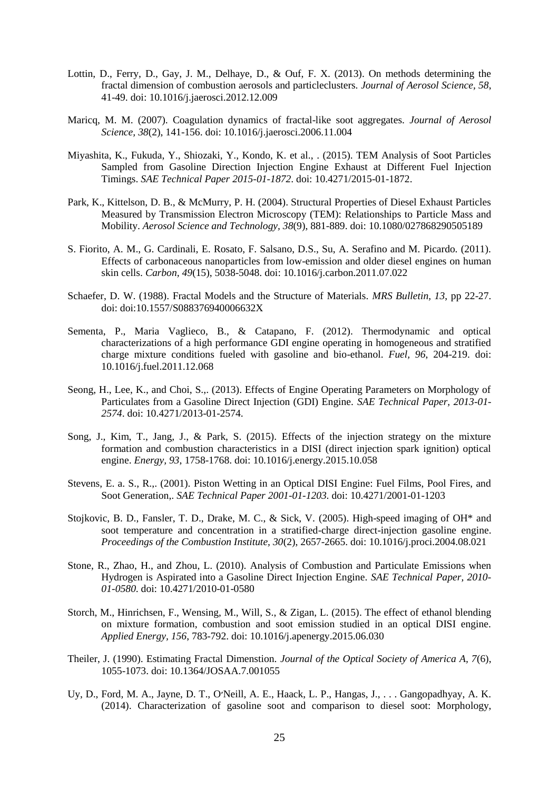- <span id="page-25-8"></span>Lottin, D., Ferry, D., Gay, J. M., Delhaye, D., & Ouf, F. X. (2013). On methods determining the fractal dimension of combustion aerosols and particleclusters. *Journal of Aerosol Science, 58*, 41-49. doi: 10.1016/j.jaerosci.2012.12.009
- <span id="page-25-5"></span>Maricq, M. M. (2007). Coagulation dynamics of fractal-like soot aggregates. *Journal of Aerosol Science, 38*(2), 141-156. doi: 10.1016/j.jaerosci.2006.11.004
- <span id="page-25-3"></span>Miyashita, K., Fukuda, Y., Shiozaki, Y., Kondo, K. et al., . (2015). TEM Analysis of Soot Particles Sampled from Gasoline Direction Injection Engine Exhaust at Different Fuel Injection Timings. *SAE Technical Paper 2015-01-1872*. doi: 10.4271/2015-01-1872.
- <span id="page-25-1"></span>Park, K., Kittelson, D. B., & McMurry, P. H. (2004). Structural Properties of Diesel Exhaust Particles Measured by Transmission Electron Microscopy (TEM): Relationships to Particle Mass and Mobility. *Aerosol Science and Technology, 38*(9), 881-889. doi: 10.1080/027868290505189
- <span id="page-25-2"></span>S. Fiorito, A. M., G. Cardinali, E. Rosato, F. Salsano, D.S., Su, A. Serafino and M. Picardo. (2011). Effects of carbonaceous nanoparticles from low-emission and older diesel engines on human skin cells. *Carbon, 49*(15), 5038-5048. doi: 10.1016/j.carbon.2011.07.022
- <span id="page-25-4"></span>Schaefer, D. W. (1988). Fractal Models and the Structure of Materials. *MRS Bulletin, 13*, pp 22-27. doi: doi:10.1557/S088376940006632X
- <span id="page-25-10"></span>Sementa, P., Maria Vaglieco, B., & Catapano, F. (2012). Thermodynamic and optical characterizations of a high performance GDI engine operating in homogeneous and stratified charge mixture conditions fueled with gasoline and bio-ethanol. *Fuel, 96*, 204-219. doi: 10.1016/j.fuel.2011.12.068
- <span id="page-25-6"></span>Seong, H., Lee, K., and Choi, S.,. (2013). Effects of Engine Operating Parameters on Morphology of Particulates from a Gasoline Direct Injection (GDI) Engine. *SAE Technical Paper, 2013-01- 2574*. doi: 10.4271/2013-01-2574.
- <span id="page-25-12"></span>Song, J., Kim, T., Jang, J., & Park, S. (2015). Effects of the injection strategy on the mixture formation and combustion characteristics in a DISI (direct injection spark ignition) optical engine. *Energy, 93*, 1758-1768. doi: 10.1016/j.energy.2015.10.058
- <span id="page-25-14"></span>Stevens, E. a. S., R.,. (2001). Piston Wetting in an Optical DISI Engine: Fuel Films, Pool Fires, and Soot Generation,. *SAE Technical Paper 2001-01-1203*. doi: 10.4271/2001-01-1203
- <span id="page-25-11"></span>Stojkovic, B. D., Fansler, T. D., Drake, M. C., & Sick, V. (2005). High-speed imaging of OH\* and soot temperature and concentration in a stratified-charge direct-injection gasoline engine. *Proceedings of the Combustion Institute, 30*(2), 2657-2665. doi: 10.1016/j.proci.2004.08.021
- <span id="page-25-7"></span>Stone, R., Zhao, H., and Zhou, L. (2010). Analysis of Combustion and Particulate Emissions when Hydrogen is Aspirated into a Gasoline Direct Injection Engine. *SAE Technical Paper, 2010- 01-0580*. doi: 10.4271/2010-01-0580
- <span id="page-25-13"></span>Storch, M., Hinrichsen, F., Wensing, M., Will, S., & Zigan, L. (2015). The effect of ethanol blending on mixture formation, combustion and soot emission studied in an optical DISI engine. *Applied Energy, 156*, 783-792. doi: 10.1016/j.apenergy.2015.06.030
- <span id="page-25-9"></span>Theiler, J. (1990). Estimating Fractal Dimenstion. *Journal of the Optical Society of America A, 7*(6), 1055-1073. doi: 10.1364/JOSAA.7.001055
- <span id="page-25-0"></span>Uy, D., Ford, M. A., Jayne, D. T., O׳Neill, A. E., Haack, L. P., Hangas, J., . . . Gangopadhyay, A. K. (2014). Characterization of gasoline soot and comparison to diesel soot: Morphology,